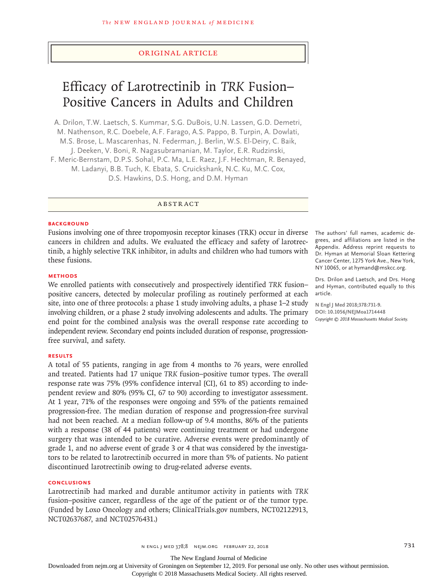## Original Article

# Efficacy of Larotrectinib in *TRK* Fusion– Positive Cancers in Adults and Children

A. Drilon, T.W. Laetsch, S. Kummar, S.G. DuBois, U.N. Lassen, G.D. Demetri, M. Nathenson, R.C. Doebele, A.F. Farago, A.S. Pappo, B. Turpin, A. Dowlati, M.S. Brose, L. Mascarenhas, N. Federman, J. Berlin, W.S. El‑Deiry, C. Baik, J. Deeken, V. Boni, R. Nagasubramanian, M. Taylor, E.R. Rudzinski, F. Meric‑Bernstam, D.P.S. Sohal, P.C. Ma, L.E. Raez, J.F. Hechtman, R. Benayed, M. Ladanyi, B.B. Tuch, K. Ebata, S. Cruickshank, N.C. Ku, M.C. Cox, D.S. Hawkins, D.S. Hong, and D.M. Hyman

ABSTRACT

#### **BACKGROUND**

Fusions involving one of three tropomyosin receptor kinases (TRK) occur in diverse The authors' full names, academic decancers in children and adults. We evaluated the efficacy and safety of larotrectinib, a highly selective TRK inhibitor, in adults and children who had tumors with these fusions.

## **METHODS**

We enrolled patients with consecutively and prospectively identified *TRK* fusion– positive cancers, detected by molecular profiling as routinely performed at each site, into one of three protocols: a phase 1 study involving adults, a phase 1–2 study involving children, or a phase 2 study involving adolescents and adults. The primary end point for the combined analysis was the overall response rate according to independent review. Secondary end points included duration of response, progressionfree survival, and safety.

#### **RESULTS**

A total of 55 patients, ranging in age from 4 months to 76 years, were enrolled and treated. Patients had 17 unique *TRK* fusion–positive tumor types. The overall response rate was 75% (95% confidence interval [CI], 61 to 85) according to independent review and 80% (95% CI, 67 to 90) according to investigator assessment. At 1 year, 71% of the responses were ongoing and 55% of the patients remained progression-free. The median duration of response and progression-free survival had not been reached. At a median follow-up of 9.4 months, 86% of the patients with a response (38 of 44 patients) were continuing treatment or had undergone surgery that was intended to be curative. Adverse events were predominantly of grade 1, and no adverse event of grade 3 or 4 that was considered by the investigators to be related to larotrectinib occurred in more than 5% of patients. No patient discontinued larotrectinib owing to drug-related adverse events.

#### **CONCLUSIONS**

Larotrectinib had marked and durable antitumor activity in patients with *TRK* fusion–positive cancer, regardless of the age of the patient or of the tumor type. (Funded by Loxo Oncology and others; ClinicalTrials.gov numbers, NCT02122913, NCT02637687, and NCT02576431.)

grees, and affiliations are listed in the Appendix. Address reprint requests to Dr. Hyman at Memorial Sloan Kettering Cancer Center, 1275 York Ave., New York, NY 10065, or at hymand@mskcc.org.

Drs. Drilon and Laetsch, and Drs. Hong and Hyman, contributed equally to this article.

**N Engl J Med 2018;378:731-9. DOI: 10.1056/NEJMoa1714448** *Copyright © 2018 Massachusetts Medical Society.*

The New England Journal of Medicine

Downloaded from nejm.org at University of Groningen on September 12, 2019. For personal use only. No other uses without permission.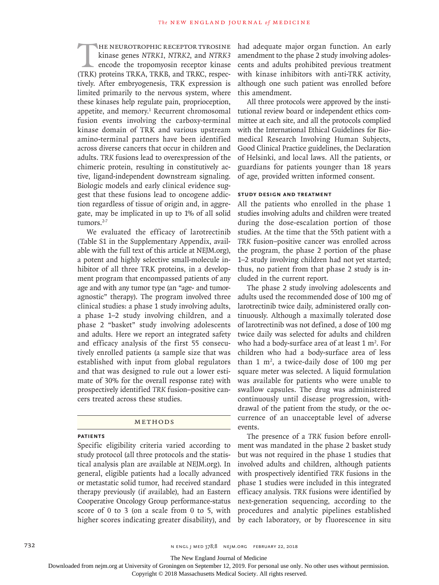THE NEUROTROPHIC RECEPTOR TYROSINE<br>
kinase genes NTRK1, NTRK2, and NTRK3<br>
encode the tropomyosin receptor kinase<br>
(TRK) proteins TRKA. TRKB, and TRKC, respeckinase genes *NTRK1*, *NTRK2*, and *NTRK3* encode the tropomyosin receptor kinase (TRK) proteins TRKA, TRKB, and TRKC, respectively. After embryogenesis, TRK expression is limited primarily to the nervous system, where these kinases help regulate pain, proprioception, appetite, and memory.<sup>1</sup> Recurrent chromosomal fusion events involving the carboxy-terminal kinase domain of TRK and various upstream amino-terminal partners have been identified across diverse cancers that occur in children and adults. *TRK* fusions lead to overexpression of the chimeric protein, resulting in constitutively active, ligand-independent downstream signaling. Biologic models and early clinical evidence suggest that these fusions lead to oncogene addiction regardless of tissue of origin and, in aggregate, may be implicated in up to 1% of all solid tumors.<sup>2-7</sup>

We evaluated the efficacy of larotrectinib (Table S1 in the Supplementary Appendix, available with the full text of this article at NEJM.org), a potent and highly selective small-molecule inhibitor of all three TRK proteins, in a development program that encompassed patients of any age and with any tumor type (an "age- and tumoragnostic" therapy). The program involved three clinical studies: a phase 1 study involving adults, a phase 1–2 study involving children, and a phase 2 "basket" study involving adolescents and adults. Here we report an integrated safety and efficacy analysis of the first 55 consecutively enrolled patients (a sample size that was established with input from global regulators and that was designed to rule out a lower estimate of 30% for the overall response rate) with prospectively identified *TRK* fusion–positive cancers treated across these studies.

## Methods

## **Patients**

Specific eligibility criteria varied according to study protocol (all three protocols and the statistical analysis plan are available at NEJM.org). In general, eligible patients had a locally advanced or metastatic solid tumor, had received standard therapy previously (if available), had an Eastern Cooperative Oncology Group performance-status score of 0 to 3 (on a scale from 0 to 5, with higher scores indicating greater disability), and had adequate major organ function. An early amendment to the phase 2 study involving adolescents and adults prohibited previous treatment with kinase inhibitors with anti-TRK activity, although one such patient was enrolled before this amendment.

All three protocols were approved by the institutional review board or independent ethics committee at each site, and all the protocols complied with the International Ethical Guidelines for Biomedical Research Involving Human Subjects, Good Clinical Practice guidelines, the Declaration of Helsinki, and local laws. All the patients, or guardians for patients younger than 18 years of age, provided written informed consent.

## **Study Design and Treatment**

All the patients who enrolled in the phase 1 studies involving adults and children were treated during the dose-escalation portion of those studies. At the time that the 55th patient with a *TRK* fusion–positive cancer was enrolled across the program, the phase 2 portion of the phase 1–2 study involving children had not yet started; thus, no patient from that phase 2 study is included in the current report.

The phase 2 study involving adolescents and adults used the recommended dose of 100 mg of larotrectinib twice daily, administered orally continuously. Although a maximally tolerated dose of larotrectinib was not defined, a dose of 100 mg twice daily was selected for adults and children who had a body-surface area of at least  $1 \text{ m}^2$ . For children who had a body-surface area of less than  $1 \text{ m}^2$ , a twice-daily dose of  $100 \text{ mg}$  per square meter was selected. A liquid formulation was available for patients who were unable to swallow capsules. The drug was administered continuously until disease progression, withdrawal of the patient from the study, or the occurrence of an unacceptable level of adverse events.

The presence of a *TRK* fusion before enrollment was mandated in the phase 2 basket study but was not required in the phase 1 studies that involved adults and children, although patients with prospectively identified *TRK* fusions in the phase 1 studies were included in this integrated efficacy analysis. *TRK* fusions were identified by next-generation sequencing, according to the procedures and analytic pipelines established by each laboratory, or by fluorescence in situ

The New England Journal of Medicine

Downloaded from nejm.org at University of Groningen on September 12, 2019. For personal use only. No other uses without permission.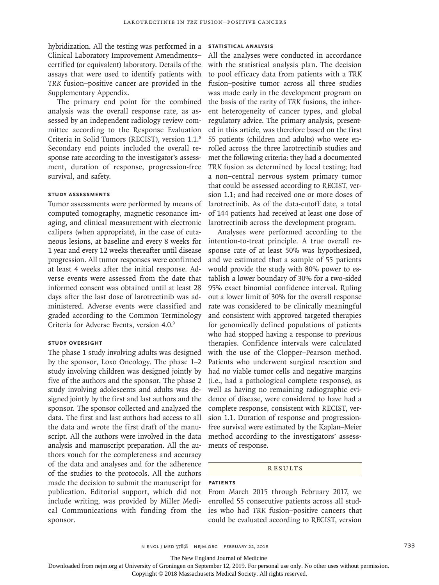hybridization. All the testing was performed in a Clinical Laboratory Improvement Amendments– certified (or equivalent) laboratory. Details of the assays that were used to identify patients with *TRK* fusion–positive cancer are provided in the Supplementary Appendix.

The primary end point for the combined analysis was the overall response rate, as assessed by an independent radiology review committee according to the Response Evaluation Criteria in Solid Tumors (RECIST), version 1.1.8 Secondary end points included the overall response rate according to the investigator's assessment, duration of response, progression-free survival, and safety.

## **Study Assessments**

Tumor assessments were performed by means of computed tomography, magnetic resonance imaging, and clinical measurement with electronic calipers (when appropriate), in the case of cutaneous lesions, at baseline and every 8 weeks for 1 year and every 12 weeks thereafter until disease progression. All tumor responses were confirmed at least 4 weeks after the initial response. Adverse events were assessed from the date that informed consent was obtained until at least 28 days after the last dose of larotrectinib was administered. Adverse events were classified and graded according to the Common Terminology Criteria for Adverse Events, version 4.0.9

## **Study Oversight**

The phase 1 study involving adults was designed by the sponsor, Loxo Oncology. The phase 1–2 study involving children was designed jointly by five of the authors and the sponsor. The phase 2 study involving adolescents and adults was designed jointly by the first and last authors and the sponsor. The sponsor collected and analyzed the data. The first and last authors had access to all the data and wrote the first draft of the manuscript. All the authors were involved in the data analysis and manuscript preparation. All the authors vouch for the completeness and accuracy of the data and analyses and for the adherence of the studies to the protocols. All the authors made the decision to submit the manuscript for publication. Editorial support, which did not include writing, was provided by Miller Medical Communications with funding from the sponsor.

## **Statistical Analysis**

All the analyses were conducted in accordance with the statistical analysis plan. The decision to pool efficacy data from patients with a *TRK* fusion–positive tumor across all three studies was made early in the development program on the basis of the rarity of *TRK* fusions, the inherent heterogeneity of cancer types, and global regulatory advice. The primary analysis, presented in this article, was therefore based on the first 55 patients (children and adults) who were enrolled across the three larotrectinib studies and met the following criteria: they had a documented *TRK* fusion as determined by local testing; had a non–central nervous system primary tumor that could be assessed according to RECIST, version 1.1; and had received one or more doses of larotrectinib. As of the data-cutoff date, a total of 144 patients had received at least one dose of larotrectinib across the development program.

Analyses were performed according to the intention-to-treat principle. A true overall response rate of at least 50% was hypothesized, and we estimated that a sample of 55 patients would provide the study with 80% power to establish a lower boundary of 30% for a two-sided 95% exact binomial confidence interval. Ruling out a lower limit of 30% for the overall response rate was considered to be clinically meaningful and consistent with approved targeted therapies for genomically defined populations of patients who had stopped having a response to previous therapies. Confidence intervals were calculated with the use of the Clopper–Pearson method. Patients who underwent surgical resection and had no viable tumor cells and negative margins (i.e., had a pathological complete response), as well as having no remaining radiographic evidence of disease, were considered to have had a complete response, consistent with RECIST, version 1.1. Duration of response and progressionfree survival were estimated by the Kaplan–Meier method according to the investigators' assessments of response.

#### **RESULTS**

#### **Patients**

From March 2015 through February 2017, we enrolled 55 consecutive patients across all studies who had *TRK* fusion–positive cancers that could be evaluated according to RECIST, version

n engl j med 378;8 nejm.org February 22, 2018 733

The New England Journal of Medicine

Downloaded from nejm.org at University of Groningen on September 12, 2019. For personal use only. No other uses without permission.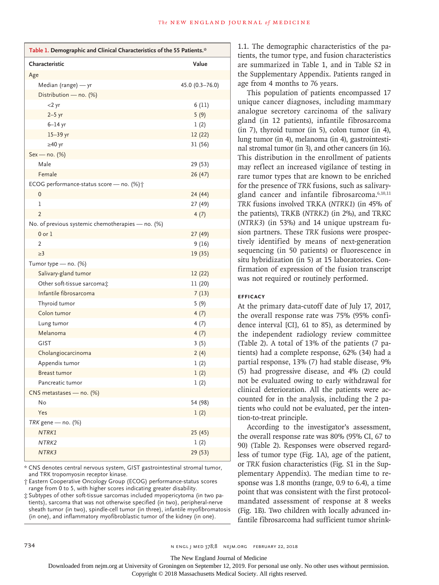| Table 1. Demographic and Clinical Characteristics of the 55 Patients.* |                    |  |  |  |  |  |
|------------------------------------------------------------------------|--------------------|--|--|--|--|--|
| Characteristic                                                         | Value              |  |  |  |  |  |
| Age                                                                    |                    |  |  |  |  |  |
| Median (range) - yr                                                    | $45.0(0.3 - 76.0)$ |  |  |  |  |  |
| Distribution - no. (%)                                                 |                    |  |  |  |  |  |
| $<$ 2 yr                                                               | 6(11)              |  |  |  |  |  |
| $2-5$ yr                                                               | 5(9)               |  |  |  |  |  |
| $6-14$ yr                                                              | 1(2)               |  |  |  |  |  |
| 15-39 yr                                                               | 12 (22)            |  |  |  |  |  |
| $\geq$ 40 yr                                                           | 31 (56)            |  |  |  |  |  |
| Sex - no. (%)                                                          |                    |  |  |  |  |  |
| Male                                                                   | 29 (53)            |  |  |  |  |  |
| Female                                                                 | 26(47)             |  |  |  |  |  |
| ECOG performance-status score - no. (%) +                              |                    |  |  |  |  |  |
| 0                                                                      | 24 (44)            |  |  |  |  |  |
| 1                                                                      | 27 (49)            |  |  |  |  |  |
| 2                                                                      | 4(7)               |  |  |  |  |  |
| No. of previous systemic chemotherapies - no. (%)                      |                    |  |  |  |  |  |
| $0$ or $1$                                                             | 27(49)             |  |  |  |  |  |
| $\overline{2}$                                                         | 9(16)              |  |  |  |  |  |
| $\geq$ 3                                                               | 19 (35)            |  |  |  |  |  |
| Tumor type - no. (%)                                                   |                    |  |  |  |  |  |
| Salivary-gland tumor                                                   | 12 (22)            |  |  |  |  |  |
| Other soft-tissue sarcomat                                             | 11 (20)            |  |  |  |  |  |
| Infantile fibrosarcoma                                                 | 7(13)              |  |  |  |  |  |
| Thyroid tumor                                                          | 5 (9)              |  |  |  |  |  |
| Colon tumor                                                            | 4(7)               |  |  |  |  |  |
| Lung tumor                                                             | 4(7)               |  |  |  |  |  |
| Melanoma                                                               | 4(7)               |  |  |  |  |  |
| <b>GIST</b>                                                            | 3(5)               |  |  |  |  |  |
| Cholangiocarcinoma                                                     | 2(4)               |  |  |  |  |  |
| Appendix tumor                                                         | 1(2)               |  |  |  |  |  |
| <b>Breast tumor</b>                                                    | 1(2)               |  |  |  |  |  |
| Pancreatic tumor                                                       | 1(2)               |  |  |  |  |  |
| CNS metastases - no. (%)                                               |                    |  |  |  |  |  |
| No                                                                     | 54 (98)            |  |  |  |  |  |
| Yes                                                                    | 1(2)               |  |  |  |  |  |
| TRK gene - no. (%)                                                     |                    |  |  |  |  |  |
| NTRK1                                                                  | 25(45)             |  |  |  |  |  |
| NTRK2                                                                  | 1(2)               |  |  |  |  |  |
| NTRK3                                                                  | 29 (53)            |  |  |  |  |  |

\* CNS denotes central nervous system, GIST gastrointestinal stromal tumor, and TRK tropomyosin receptor kinase.

† Eastern Cooperative Oncology Group (ECOG) performance-status scores range from 0 to 5, with higher scores indicating greater disability.

 $\ddagger$  Subtypes of other soft-tissue sarcomas included myopericytoma (in two patients), sarcoma that was not otherwise specified (in two), peripheral-nerve sheath tumor (in two), spindle-cell tumor (in three), infantile myofibromatosis (in one), and inflammatory myofibroblastic tumor of the kidney (in one).

1.1. The demographic characteristics of the patients, the tumor type, and fusion characteristics are summarized in Table 1, and in Table S2 in the Supplementary Appendix. Patients ranged in age from 4 months to 76 years.

This population of patients encompassed 17 unique cancer diagnoses, including mammary analogue secretory carcinoma of the salivary gland (in 12 patients), infantile fibrosarcoma (in 7), thyroid tumor (in 5), colon tumor (in 4), lung tumor (in 4), melanoma (in 4), gastrointestinal stromal tumor (in 3), and other cancers (in 16). This distribution in the enrollment of patients may reflect an increased vigilance of testing in rare tumor types that are known to be enriched for the presence of *TRK* fusions, such as salivarygland cancer and infantile fibrosarcoma.<sup>6,10,11</sup> *TRK* fusions involved TRKA (*NTRK1*) (in 45% of the patients), TRKB (*NTRK2*) (in 2%), and TRKC (*NTRK3*) (in 53%) and 14 unique upstream fusion partners. These *TRK* fusions were prospectively identified by means of next-generation sequencing (in 50 patients) or fluorescence in situ hybridization (in 5) at 15 laboratories. Confirmation of expression of the fusion transcript was not required or routinely performed.

# **Efficacy**

At the primary data-cutoff date of July 17, 2017, the overall response rate was 75% (95% confidence interval [CI], 61 to 85), as determined by the independent radiology review committee (Table 2). A total of 13% of the patients (7 patients) had a complete response, 62% (34) had a partial response, 13% (7) had stable disease, 9% (5) had progressive disease, and 4% (2) could not be evaluated owing to early withdrawal for clinical deterioration. All the patients were accounted for in the analysis, including the 2 patients who could not be evaluated, per the intention-to-treat principle.

According to the investigator's assessment, the overall response rate was 80% (95% CI, 67 to 90) (Table 2). Responses were observed regardless of tumor type (Fig. 1A), age of the patient, or *TRK* fusion characteristics (Fig. S1 in the Supplementary Appendix). The median time to response was 1.8 months (range, 0.9 to 6.4), a time point that was consistent with the first protocolmandated assessment of response at 8 weeks (Fig. 1B). Two children with locally advanced infantile fibrosarcoma had sufficient tumor shrink-

The New England Journal of Medicine

Downloaded from nejm.org at University of Groningen on September 12, 2019. For personal use only. No other uses without permission.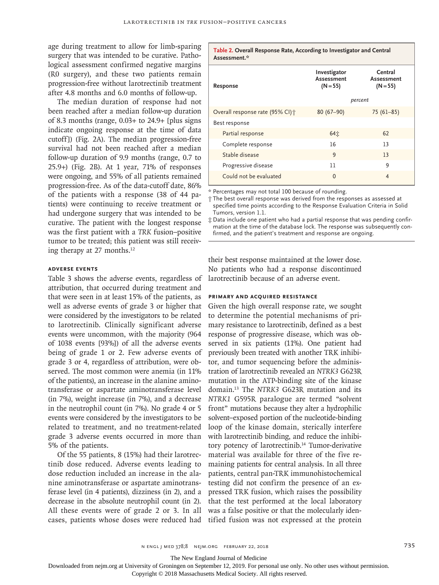age during treatment to allow for limb-sparing surgery that was intended to be curative. Pathological assessment confirmed negative margins (R0 surgery), and these two patients remain progression-free without larotrectinib treatment after 4.8 months and 6.0 months of follow-up.

The median duration of response had not been reached after a median follow-up duration of 8.3 months (range,  $0.03+$  to  $24.9+$  [plus signs indicate ongoing response at the time of data cutoff]) (Fig. 2A). The median progression-free survival had not been reached after a median follow-up duration of 9.9 months (range, 0.7 to 25.9+) (Fig. 2B). At 1 year, 71% of responses were ongoing, and 55% of all patients remained progression-free. As of the data-cutoff date, 86% of the patients with a response (38 of 44 patients) were continuing to receive treatment or had undergone surgery that was intended to be curative. The patient with the longest response was the first patient with a *TRK* fusion–positive tumor to be treated; this patient was still receiving therapy at 27 months.12

## **Adverse Events**

Table 3 shows the adverse events, regardless of attribution, that occurred during treatment and that were seen in at least 15% of the patients, as well as adverse events of grade 3 or higher that were considered by the investigators to be related to larotrectinib. Clinically significant adverse events were uncommon, with the majority (964 of 1038 events [93%]) of all the adverse events being of grade 1 or 2. Few adverse events of grade 3 or 4, regardless of attribution, were observed. The most common were anemia (in 11% of the patients), an increase in the alanine aminotransferase or aspartate aminotransferase level (in 7%), weight increase (in 7%), and a decrease in the neutrophil count (in 7%). No grade 4 or 5 events were considered by the investigators to be related to treatment, and no treatment-related grade 3 adverse events occurred in more than 5% of the patients.

Of the 55 patients, 8 (15%) had their larotrectinib dose reduced. Adverse events leading to dose reduction included an increase in the alanine aminotransferase or aspartate aminotransferase level (in 4 patients), dizziness (in 2), and a decrease in the absolute neutrophil count (in 2). All these events were of grade 2 or 3. In all cases, patients whose doses were reduced had tified fusion was not expressed at the protein

| Assessment.*                     |                                                                                            |                |  |  |  |
|----------------------------------|--------------------------------------------------------------------------------------------|----------------|--|--|--|
| Response                         | Central<br>Investigator<br>Assessment<br>Assessment<br>$(N = 55)$<br>$(N = 55)$<br>percent |                |  |  |  |
| Overall response rate (95% CI) + | $80(67-90)$                                                                                | $75(61-85)$    |  |  |  |
| Best response                    |                                                                                            |                |  |  |  |
| Partial response                 | 64立                                                                                        | 62             |  |  |  |
| Complete response                | 16                                                                                         | 13             |  |  |  |
| Stable disease                   | 9                                                                                          | 13             |  |  |  |
| Progressive disease              | 11                                                                                         | 9              |  |  |  |
| Could not be evaluated           | $\Omega$                                                                                   | $\overline{4}$ |  |  |  |

**Table 2. Overall Response Rate, According to Investigator and Central** 

\* Percentages may not total 100 because of rounding.

† The best overall response was derived from the responses as assessed at specified time points according to the Response Evaluation Criteria in Solid Tumors, version 1.1.

 $\ddagger$  Data include one patient who had a partial response that was pending confirmation at the time of the database lock. The response was subsequently confirmed, and the patient's treatment and response are ongoing.

their best response maintained at the lower dose. No patients who had a response discontinued larotrectinib because of an adverse event.

# **Primary and Acquired Resistance**

Given the high overall response rate, we sought to determine the potential mechanisms of primary resistance to larotrectinib, defined as a best response of progressive disease, which was observed in six patients (11%). One patient had previously been treated with another TRK inhibitor, and tumor sequencing before the administration of larotrectinib revealed an *NTRK3* G623R mutation in the ATP-binding site of the kinase domain.13 The *NTRK3* G623R mutation and its *NTRK1* G595R paralogue are termed "solvent front" mutations because they alter a hydrophilic solvent–exposed portion of the nucleotide-binding loop of the kinase domain, sterically interfere with larotrectinib binding, and reduce the inhibitory potency of larotrectinib.<sup>14</sup> Tumor-derivative material was available for three of the five remaining patients for central analysis. In all three patients, central pan-TRK immunohistochemical testing did not confirm the presence of an expressed TRK fusion, which raises the possibility that the test performed at the local laboratory was a false positive or that the molecularly iden-

The New England Journal of Medicine

Downloaded from nejm.org at University of Groningen on September 12, 2019. For personal use only. No other uses without permission.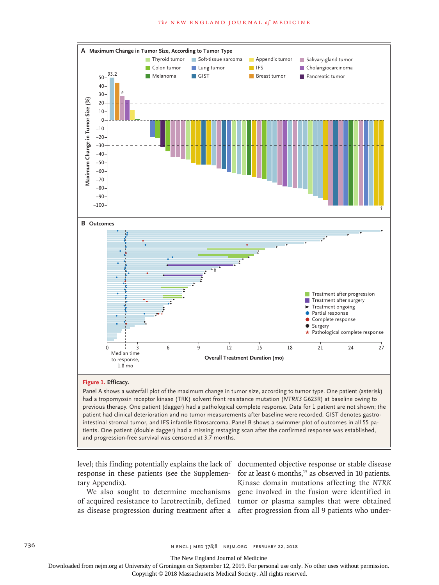

## **Figure 1. Efficacy.**

Panel A shows a waterfall plot of the maximum change in tumor size, according to tumor type. One patient (asterisk) had a tropomyosin receptor kinase (TRK) solvent front resistance mutation (*NTRK3* G623R) at baseline owing to previous therapy. One patient (dagger) had a pathological complete response. Data for 1 patient are not shown; the patient had clinical deterioration and no tumor measurements after baseline were recorded. GIST denotes gastrointestinal stromal tumor, and IFS infantile fibrosarcoma. Panel B shows a swimmer plot of outcomes in all 55 patients. One patient (double dagger) had a missing restaging scan after the confirmed response was established,

response in these patients (see the Supplemen- for at least 6 months,<sup>15</sup> as observed in 10 patients. tary Appendix).

as disease progression during treatment after a after progression from all 9 patients who under-

level; this finding potentially explains the lack of documented objective response or stable disease We also sought to determine mechanisms gene involved in the fusion were identified in of acquired resistance to larotrectinib, defined tumor or plasma samples that were obtained Kinase domain mutations affecting the *NTRK*

736 **128** n engl j med 378;8 nejm.org February 22, 2018

The New England Journal of Medicine

Downloaded from nejm.org at University of Groningen on September 12, 2019. For personal use only. No other uses without permission.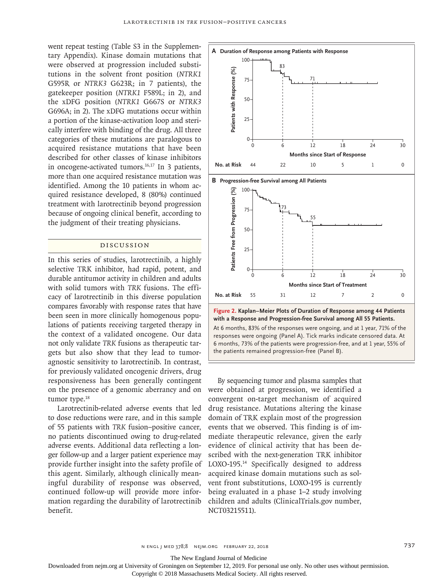went repeat testing (Table S3 in the Supplementary Appendix). Kinase domain mutations that were observed at progression included substitutions in the solvent front position (*NTRK1* G595R or *NTRK3* G623R; in 7 patients), the gatekeeper position (*NTRK1* F589L; in 2), and the xDFG position (*NTRK1* G667S or *NTRK3* G696A; in 2). The xDFG mutations occur within a portion of the kinase-activation loop and sterically interfere with binding of the drug. All three categories of these mutations are paralogous to acquired resistance mutations that have been described for other classes of kinase inhibitors in oncogene-activated tumors.<sup>16,17</sup> In 3 patients, more than one acquired resistance mutation was identified. Among the 10 patients in whom acquired resistance developed, 8 (80%) continued treatment with larotrectinib beyond progression because of ongoing clinical benefit, according to the judgment of their treating physicians.

## Discussion

In this series of studies, larotrectinib, a highly selective TRK inhibitor, had rapid, potent, and durable antitumor activity in children and adults with solid tumors with *TRK* fusions. The efficacy of larotrectinib in this diverse population compares favorably with response rates that have been seen in more clinically homogenous populations of patients receiving targeted therapy in the context of a validated oncogene. Our data not only validate *TRK* fusions as therapeutic targets but also show that they lead to tumoragnostic sensitivity to larotrectinib. In contrast, for previously validated oncogenic drivers, drug responsiveness has been generally contingent on the presence of a genomic aberrancy and on tumor type.<sup>18</sup>

Larotrectinib-related adverse events that led to dose reductions were rare, and in this sample of 55 patients with *TRK* fusion–positive cancer, no patients discontinued owing to drug-related adverse events. Additional data reflecting a longer follow-up and a larger patient experience may provide further insight into the safety profile of this agent. Similarly, although clinically meaningful durability of response was observed, continued follow-up will provide more information regarding the durability of larotrectinib benefit.



By sequencing tumor and plasma samples that were obtained at progression, we identified a convergent on-target mechanism of acquired drug resistance. Mutations altering the kinase domain of TRK explain most of the progression events that we observed. This finding is of immediate therapeutic relevance, given the early evidence of clinical activity that has been described with the next-generation TRK inhibitor LOXO-195.14 Specifically designed to address acquired kinase domain mutations such as solvent front substitutions, LOXO-195 is currently being evaluated in a phase 1–2 study involving children and adults (ClinicalTrials.gov number, NCT03215511).

n engl j med 378;8 nejm.org February 22, 2018 737

The New England Journal of Medicine

Downloaded from nejm.org at University of Groningen on September 12, 2019. For personal use only. No other uses without permission.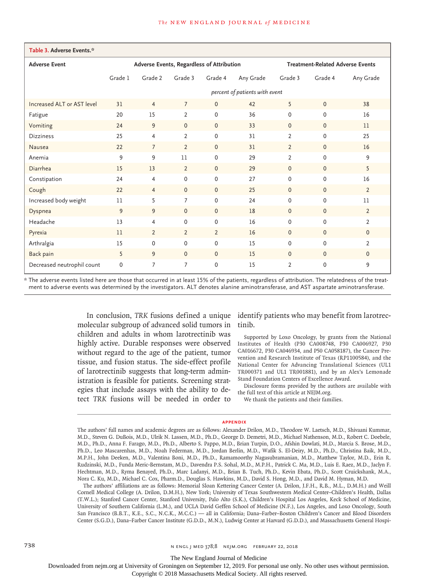| Table 3. Adverse Events.*  |                                           |                |                |                |                                         |                |              |                |
|----------------------------|-------------------------------------------|----------------|----------------|----------------|-----------------------------------------|----------------|--------------|----------------|
| <b>Adverse Event</b>       | Adverse Events, Regardless of Attribution |                |                |                | <b>Treatment-Related Adverse Events</b> |                |              |                |
|                            | Grade 1                                   | Grade 2        | Grade 3        | Grade 4        | Any Grade                               | Grade 3        | Grade 4      | Any Grade      |
|                            | percent of patients with event            |                |                |                |                                         |                |              |                |
| Increased ALT or AST level | 31                                        | $\overline{4}$ | $\overline{7}$ | $\mathbf{0}$   | 42                                      | 5              | $\mathbf{0}$ | 38             |
| Fatigue                    | 20                                        | 15             | $\overline{2}$ | $\Omega$       | 36                                      | $\mathbf 0$    | $\Omega$     | 16             |
| Vomiting                   | 24                                        | 9              | $\mathbf{0}$   | $\mathbf{0}$   | 33                                      | $\mathbf{0}$   | $\mathbf{0}$ | 11             |
| <b>Dizziness</b>           | 25                                        | $\overline{4}$ | $\overline{2}$ | $\mathbf 0$    | 31                                      | $\overline{2}$ | $\Omega$     | 25             |
| Nausea                     | 22                                        | $\overline{7}$ | $\overline{2}$ | $\Omega$       | 31                                      | $\overline{2}$ | $\Omega$     | 16             |
| Anemia                     | 9                                         | 9              | 11             | $\Omega$       | 29                                      | $\overline{2}$ | $\Omega$     | 9              |
| Diarrhea                   | 15                                        | 13             | $\overline{2}$ | $\Omega$       | 29                                      | $\mathbf{0}$   | $\Omega$     | 5              |
| Constipation               | 24                                        | $\overline{4}$ | 0              | 0              | 27                                      | $\mathbf 0$    | $\Omega$     | 16             |
| Cough                      | 22                                        | $\overline{4}$ | $\mathbf{0}$   | $\mathbf{0}$   | 25                                      | $\mathbf{0}$   | $\Omega$     | $\overline{2}$ |
| Increased body weight      | 11                                        | 5              | $\overline{7}$ | $\mathbf 0$    | 24                                      | $\mathbf 0$    | $\Omega$     | 11             |
| Dyspnea                    | 9                                         | 9              | $\mathbf{0}$   | $\mathbf{0}$   | 18                                      | $\mathbf{0}$   | $\mathbf{0}$ | $\overline{2}$ |
| Headache                   | 13                                        | $\overline{4}$ | 0              | 0              | 16                                      | $\mathbf 0$    | $\Omega$     | $\overline{2}$ |
| Pyrexia                    | 11                                        | $\overline{2}$ | $\overline{2}$ | $\overline{2}$ | 16                                      | $\mathbf{0}$   | $\mathbf{0}$ | $\mathbf{0}$   |
| Arthralgia                 | 15                                        | 0              | $\mathbf{0}$   | $\mathbf 0$    | 15                                      | $\mathbf 0$    | $\Omega$     | $\overline{2}$ |
| Back pain                  | 5                                         | 9              | $\mathbf{0}$   | $\mathbf{0}$   | 15                                      | $\mathbf{0}$   | $\mathbf{0}$ | $\mathbf{0}$   |
| Decreased neutrophil count | 0                                         | 7              | 7              | $\mathbf 0$    | 15                                      | $\overline{2}$ | $\mathbf 0$  | 9              |

\* The adverse events listed here are those that occurred in at least 15% of the patients, regardless of attribution. The relatedness of the treat‑ ment to adverse events was determined by the investigators. ALT denotes alanine aminotransferase, and AST aspartate aminotransferase.

> molecular subgroup of advanced solid tumors in children and adults in whom larotrectinib was highly active. Durable responses were observed without regard to the age of the patient, tumor tissue, and fusion status. The side-effect profile of larotrectinib suggests that long-term administration is feasible for patients. Screening strategies that include assays with the ability to detect *TRK* fusions will be needed in order to

In conclusion, *TRK* fusions defined a unique identify patients who may benefit from larotrectinib.

> Supported by Loxo Oncology, by grants from the National Institutes of Health (P30 CA008748, P30 CA006927, P30 CA016672, P30 CA046934, and P50 CA058187), the Cancer Prevention and Research Institute of Texas (RP1100584), and the National Center for Advancing Translational Sciences (UL1 TR000371 and UL1 TR001881), and by an Alex's Lemonade Stand Foundation Centers of Excellence Award.

> Disclosure forms provided by the authors are available with the full text of this article at NEJM.org.

We thank the patients and their families.

#### **Appendix**

The authors' affiliations are as follows: Memorial Sloan Kettering Cancer Center (A. Drilon, J.F.H., R.B., M.L., D.M.H.) and Weill Cornell Medical College (A. Drilon, D.M.H.), New York; University of Texas Southwestern Medical Center–Children's Health, Dallas (T.W.L.); Stanford Cancer Center, Stanford University, Palo Alto (S.K.), Children's Hospital Los Angeles, Keck School of Medicine, University of Southern California (L.M.), and UCLA David Geffen School of Medicine (N.F.), Los Angeles, and Loxo Oncology, South San Francisco (B.B.T., K.E., S.C., N.C.K., M.C.C.) — all in California; Dana–Farber–Boston Children's Cancer and Blood Disorders Center (S.G.D.), Dana–Farber Cancer Institute (G.D.D., M.N.), Ludwig Center at Harvard (G.D.D.), and Massachusetts General Hospi-

The New England Journal of Medicine

Downloaded from nejm.org at University of Groningen on September 12, 2019. For personal use only. No other uses without permission.

The authors' full names and academic degrees are as follows: Alexander Drilon, M.D., Theodore W. Laetsch, M.D., Shivaani Kummar, M.D., Steven G. DuBois, M.D., Ulrik N. Lassen, M.D., Ph.D., George D. Demetri, M.D., Michael Nathenson, M.D., Robert C. Doebele, M.D., Ph.D., Anna F. Farago, M.D., Ph.D., Alberto S. Pappo, M.D., Brian Turpin, D.O., Afshin Dowlati, M.D., Marcia S. Brose, M.D., Ph.D., Leo Mascarenhas, M.D., Noah Federman, M.D., Jordan Berlin, M.D., Wafik S. El-Deiry, M.D., Ph.D., Christina Baik, M.D., M.P.H., John Deeken, M.D., Valentina Boni, M.D., Ph.D., Ramamoorthy Nagasubramanian, M.D., Matthew Taylor, M.D., Erin R. Rudzinski, M.D., Funda Meric-Bernstam, M.D., Davendra P.S. Sohal, M.D., M.P.H., Patrick C. Ma, M.D., Luis E. Raez, M.D., Jaclyn F. Hechtman, M.D., Ryma Benayed, Ph.D., Marc Ladanyi, M.D., Brian B. Tuch, Ph.D., Kevin Ebata, Ph.D., Scott Cruickshank, M.A., Nora C. Ku, M.D., Michael C. Cox, Pharm.D., Douglas S. Hawkins, M.D., David S. Hong, M.D., and David M. Hyman, M.D.